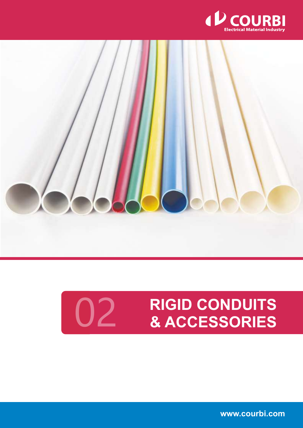



## **RIGID CONDUITS** 02 **& ACCESSORIES**

**www.courbi.com**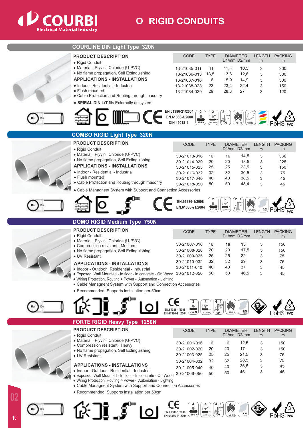

## **CONDUITS**

| <b>COURLINE DIN Light Type 320N</b>                                                  |                                                                 |                    |                                                                                |                           |                    |                     |  |
|--------------------------------------------------------------------------------------|-----------------------------------------------------------------|--------------------|--------------------------------------------------------------------------------|---------------------------|--------------------|---------------------|--|
| <b>PRODUCT DESCRIPTION</b><br>· Rigid Conduit                                        | CODE                                                            | <b>TYPE</b>        | <b>DIAMETER</b><br>D1/mm D2/mm                                                 |                           | <b>LENGTH</b><br>m | <b>PACKING</b><br>m |  |
| · Material : Plyvinil Chloride (U-PVC)                                               | 13-21035-011                                                    | 11                 | 11,5                                                                           | 10,5                      | 3                  | 300                 |  |
| . No flame propagation, Self Extinguishing                                           | 13-21036-013                                                    | 13,5               | 13,6                                                                           | 12,6                      | 3                  | 300                 |  |
| <b>APPLICATIONS - INSTALLATIONS</b>                                                  | 13-21037-016                                                    | 16                 | 15,9                                                                           | 14,9                      | 3                  | 300                 |  |
| • Indoor - Residential - Industrial                                                  | 13-21038-023                                                    | 23                 | 23,4                                                                           | 22,4                      | 3                  | 150                 |  |
| • Flush mounted                                                                      | 13-21034-029                                                    | 29                 | 28,3                                                                           | 27                        | 3                  | 120                 |  |
| • Cable Protection and Routing through masonry                                       |                                                                 |                    |                                                                                |                           |                    |                     |  |
| • SPIRAL DIN L/T fits Externally as system                                           |                                                                 |                    |                                                                                |                           |                    |                     |  |
| $\Box$ CE                                                                            | EN.61386-21/2004<br>2                                           |                    |                                                                                |                           |                    |                     |  |
|                                                                                      | EN.61386-1/2008<br>$\ddot{\phantom{1}}$<br>DIN 49018-1<br>320 N | v<br>1 Kg / 100 ms | $\begin{array}{c}\n\cdot 60^{\circ}C \\ \hline\n\vdots \\ \hline\n\end{array}$ |                           |                    |                     |  |
|                                                                                      |                                                                 |                    | SE-FR                                                                          |                           |                    |                     |  |
| <b>COMBO RIGID Light Type 320N</b>                                                   |                                                                 |                    |                                                                                |                           |                    |                     |  |
| <b>PRODUCT DESCRIPTION</b>                                                           | <b>CODE</b>                                                     | <b>TYPE</b>        | <b>DIAMETER</b>                                                                |                           | <b>LENGTH</b>      | <b>PACKING</b>      |  |
| · Rigid Conduit                                                                      |                                                                 |                    | D1/mm D2/mm                                                                    |                           | m                  | m                   |  |
| · Material : Plyvinil Chloride (U-PVC)<br>. No flame propagation, Self Extinguishing | 30-21013-016                                                    | 16                 | 16                                                                             | 14,5                      | 3                  | 360                 |  |
| <b>APPLICATIONS - INSTALLATIONS</b>                                                  | 30-21014-020                                                    | 20<br>25           | 20<br>25                                                                       | 18,5<br>23,5              | 3                  | 225                 |  |
| · Indoor - Residential - Industrial                                                  | 30-21015-025<br>30-21016-032                                    | 32                 | 32                                                                             | 30,5                      | 3<br>3             | 150<br>75           |  |
| • Flush mounted                                                                      | 30-21017-040                                                    | 40                 | 40                                                                             | 38,5                      | 3                  | 45                  |  |
| • Cable Protection and Routing through masonry                                       | 30-21018-050                                                    | 50                 | 50                                                                             | 48,4                      | 3                  | 45                  |  |
| • Cable Managnent System with Support and Connection Accessories                     |                                                                 |                    |                                                                                |                           |                    |                     |  |
|                                                                                      |                                                                 |                    |                                                                                |                           |                    |                     |  |
|                                                                                      | EN.61386-1/2008                                                 | $\bullet$          | v                                                                              | $\boldsymbol{\mathsf{M}}$ |                    |                     |  |
|                                                                                      | EN.61386-21/2004                                                | 320 N              | 1 Kg / 100 mi                                                                  | SE-FR                     | <b>RAL</b><br>7035 |                     |  |
| <b>DOMO RIGID Medium Type 750N</b>                                                   |                                                                 |                    |                                                                                |                           |                    |                     |  |
| <b>PRODUCT DESCRIPTION</b>                                                           |                                                                 |                    |                                                                                |                           |                    |                     |  |
| · Rigid Conduit                                                                      | CODE                                                            | <b>TYPE</b>        | <b>DIAMETER</b><br>D1/mm D2/mm                                                 |                           | <b>LENGTH</b><br>m | <b>PACKING</b><br>m |  |
| · Material : Plyvinil Chloride (U-PVC)                                               |                                                                 |                    |                                                                                |                           |                    |                     |  |
| • Compression resistant : Medium                                                     | 30-21007-016<br>30-21008-020                                    | 16<br>20           | 16<br>20                                                                       | 13<br>17,5                | 3<br>3             | 150<br>150          |  |
| . No flame propagation, Self Extinguishing<br>• UV Resistant                         | 30-21009-025                                                    | 25                 | 25                                                                             | 22                        | 3                  | 75                  |  |
| <b>APPLICATIONS - INSTALLATIONS</b>                                                  | 30-21010-032                                                    | 32                 | 32                                                                             | 29                        | 3                  | 75                  |  |
| · Indoor - Outdoor, Residential - Industrial                                         | 30-21011-040                                                    | 40                 | 40                                                                             | 37                        | 3                  | 45                  |  |
| · Exposed, Wall Mounted - In floor - In concrete - On Wood 30-21012-050              |                                                                 | 50                 | 50                                                                             | 46,5                      | 3                  | 45                  |  |
| • Wiring Protection, Routing > Power - Automation - Lighting                         |                                                                 |                    |                                                                                |                           |                    |                     |  |
| • Cable Managnent System with Support and Connection Accessories                     |                                                                 |                    |                                                                                |                           |                    |                     |  |
| · Recommended: Supports installation per 50cm                                        |                                                                 |                    |                                                                                |                           |                    |                     |  |
|                                                                                      | 3                                                               |                    |                                                                                |                           |                    |                     |  |
|                                                                                      | EN.61386-1/2008                                                 | $(25 \frac{1}{2})$ |                                                                                |                           |                    |                     |  |
|                                                                                      | 750 N<br>EN.61386-21/2004                                       | 2 Kg / 100 m       | SE-FR                                                                          |                           |                    |                     |  |
| <b>FORTE RIGID Heavy Type 1250N</b>                                                  |                                                                 |                    |                                                                                |                           |                    |                     |  |
| <b>PRODUCT DESCRIPTION</b>                                                           | CODE                                                            | <b>TYPE</b>        | <b>DIAMETER</b>                                                                |                           | <b>LENGTH</b>      | <b>PACKING</b>      |  |
| · Rigid Conduit                                                                      |                                                                 |                    | D1/mm D2/mm                                                                    |                           | m                  | m                   |  |
| · Material : Plyvinil Chloride (U-PVC)<br>• Compression resistant : Heavy            | 30-21001-016                                                    | 16                 | 16                                                                             | 12,5                      | 3                  | 150                 |  |
| . No flame propagation, Self Extinguishing                                           | 30-21002-020                                                    | 20                 | 20                                                                             | 17                        | 3                  | 150                 |  |
| • UV Resistant                                                                       | 30-21003-025                                                    | 25                 | 25                                                                             | 21,5                      | 3                  | 75                  |  |
| <b>APPLICATIONS - INSTALLATIONS</b>                                                  | 30-21004-032                                                    | 32                 | 32                                                                             | 28,5                      | 3                  | 75                  |  |
| • Indoor - Outdoor - Residential - Industrial                                        | 30-21005-040                                                    | 40                 | 40                                                                             | 36,5<br>46                | 3<br>3             | 45<br>45            |  |
| · Exposed, Wall Mounted - In floor - In concrete - On Wood                           | 30-21006-050                                                    | 50                 | 50                                                                             |                           |                    |                     |  |
| • Wiring Protection, Routing > Power - Automation - Lighting                         |                                                                 |                    |                                                                                |                           |                    |                     |  |
| • Cable Managnent System with Support and Connection Accessories                     |                                                                 |                    |                                                                                |                           |                    |                     |  |
| • Recommended: Supports installation per 50cm                                        |                                                                 |                    |                                                                                |                           |                    |                     |  |
|                                                                                      |                                                                 |                    |                                                                                |                           |                    |                     |  |
| ╔╪╶┇┖╶┋┈                                                                             |                                                                 | <b>10011-0010</b>  | $\infty$                                                                       |                           |                    |                     |  |
|                                                                                      | EN.61386-1/2008<br>EN.61386-21/2004<br>1250 N                   | 2 Kg / 300 mn      | SE-FR                                                                          | <b>RAL</b><br>7035        |                    |                     |  |